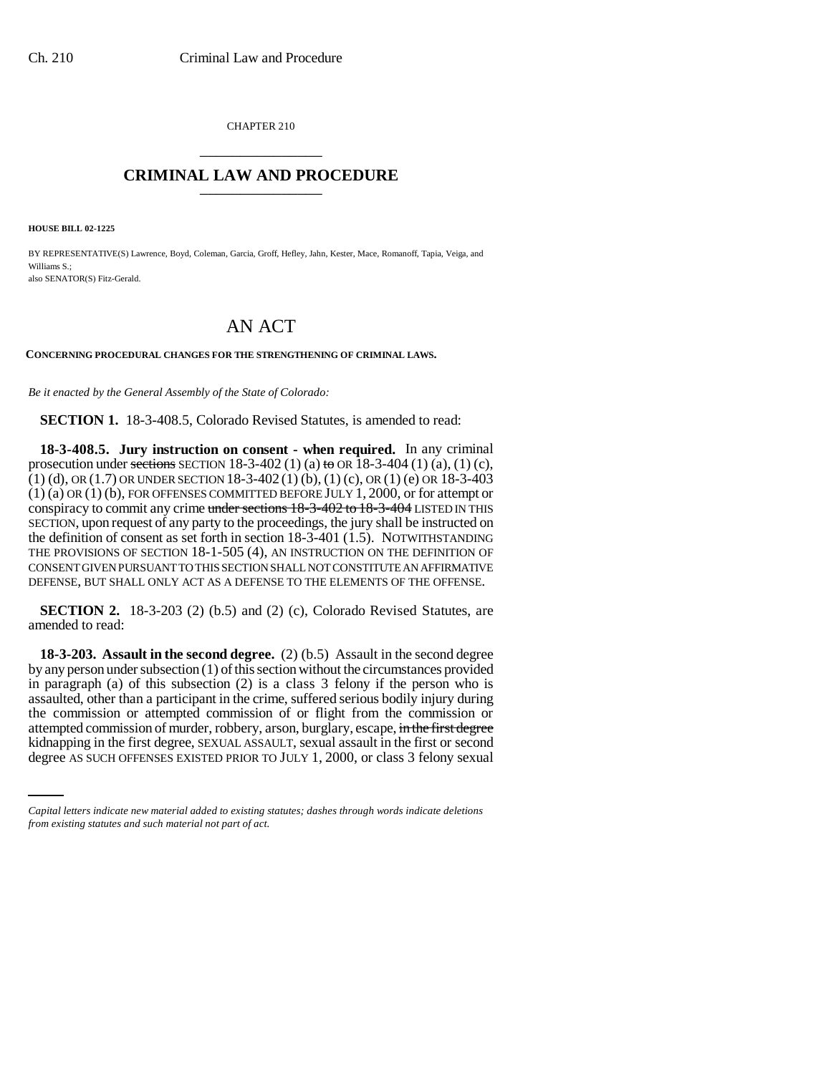CHAPTER 210 \_\_\_\_\_\_\_\_\_\_\_\_\_\_\_

## **CRIMINAL LAW AND PROCEDURE** \_\_\_\_\_\_\_\_\_\_\_\_\_\_\_

**HOUSE BILL 02-1225**

BY REPRESENTATIVE(S) Lawrence, Boyd, Coleman, Garcia, Groff, Hefley, Jahn, Kester, Mace, Romanoff, Tapia, Veiga, and Williams S.; also SENATOR(S) Fitz-Gerald.

## AN ACT

**CONCERNING PROCEDURAL CHANGES FOR THE STRENGTHENING OF CRIMINAL LAWS.**

*Be it enacted by the General Assembly of the State of Colorado:*

**SECTION 1.** 18-3-408.5, Colorado Revised Statutes, is amended to read:

**18-3-408.5. Jury instruction on consent - when required.** In any criminal prosecution under sections SECTION 18-3-402 (1) (a) to OR 18-3-404 (1) (a), (1) (c), (1) (d), OR (1.7) OR UNDER SECTION 18-3-402 (1) (b), (1) (c), OR (1) (e) OR 18-3-403 (1) (a) OR (1) (b), FOR OFFENSES COMMITTED BEFORE JULY 1, 2000, or for attempt or conspiracy to commit any crime under sections 18-3-402 to 18-3-404 LISTED IN THIS SECTION, upon request of any party to the proceedings, the jury shall be instructed on the definition of consent as set forth in section 18-3-401 (1.5). NOTWITHSTANDING THE PROVISIONS OF SECTION 18-1-505 (4), AN INSTRUCTION ON THE DEFINITION OF CONSENT GIVEN PURSUANT TO THIS SECTION SHALL NOT CONSTITUTE AN AFFIRMATIVE DEFENSE, BUT SHALL ONLY ACT AS A DEFENSE TO THE ELEMENTS OF THE OFFENSE.

**SECTION 2.** 18-3-203 (2) (b.5) and (2) (c), Colorado Revised Statutes, are amended to read:

attempted commission of murder, robbery, arson, burglary, escape, in the first degree **18-3-203. Assault in the second degree.** (2) (b.5) Assault in the second degree by any person under subsection (1) of this section without the circumstances provided in paragraph (a) of this subsection (2) is a class 3 felony if the person who is assaulted, other than a participant in the crime, suffered serious bodily injury during the commission or attempted commission of or flight from the commission or kidnapping in the first degree, SEXUAL ASSAULT, sexual assault in the first or second degree AS SUCH OFFENSES EXISTED PRIOR TO JULY 1, 2000, or class 3 felony sexual

*Capital letters indicate new material added to existing statutes; dashes through words indicate deletions from existing statutes and such material not part of act.*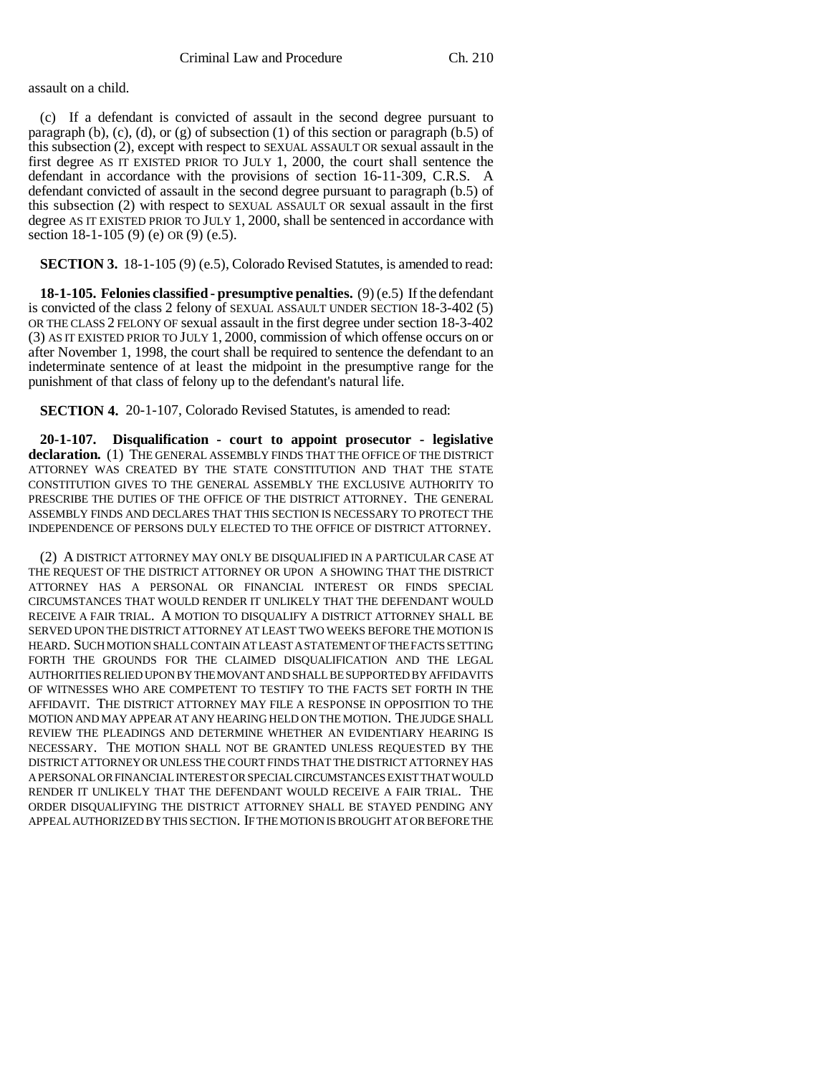assault on a child.

(c) If a defendant is convicted of assault in the second degree pursuant to paragraph (b), (c), (d), or (g) of subsection (1) of this section or paragraph (b.5) of this subsection (2), except with respect to SEXUAL ASSAULT OR sexual assault in the first degree AS IT EXISTED PRIOR TO JULY 1, 2000, the court shall sentence the defendant in accordance with the provisions of section 16-11-309, C.R.S. A defendant convicted of assault in the second degree pursuant to paragraph (b.5) of this subsection (2) with respect to SEXUAL ASSAULT OR sexual assault in the first degree AS IT EXISTED PRIOR TO JULY 1, 2000, shall be sentenced in accordance with section 18-1-105 (9) (e) OR (9) (e.5).

**SECTION 3.** 18-1-105 (9) (e.5), Colorado Revised Statutes, is amended to read:

**18-1-105. Felonies classified - presumptive penalties.** (9) (e.5) If the defendant is convicted of the class 2 felony of SEXUAL ASSAULT UNDER SECTION 18-3-402 (5) OR THE CLASS 2 FELONY OF sexual assault in the first degree under section 18-3-402 (3) AS IT EXISTED PRIOR TO JULY 1, 2000, commission of which offense occurs on or after November 1, 1998, the court shall be required to sentence the defendant to an indeterminate sentence of at least the midpoint in the presumptive range for the punishment of that class of felony up to the defendant's natural life.

**SECTION 4.** 20-1-107, Colorado Revised Statutes, is amended to read:

**20-1-107. Disqualification - court to appoint prosecutor - legislative declaration.** (1) THE GENERAL ASSEMBLY FINDS THAT THE OFFICE OF THE DISTRICT ATTORNEY WAS CREATED BY THE STATE CONSTITUTION AND THAT THE STATE CONSTITUTION GIVES TO THE GENERAL ASSEMBLY THE EXCLUSIVE AUTHORITY TO PRESCRIBE THE DUTIES OF THE OFFICE OF THE DISTRICT ATTORNEY. THE GENERAL ASSEMBLY FINDS AND DECLARES THAT THIS SECTION IS NECESSARY TO PROTECT THE INDEPENDENCE OF PERSONS DULY ELECTED TO THE OFFICE OF DISTRICT ATTORNEY.

(2) A DISTRICT ATTORNEY MAY ONLY BE DISQUALIFIED IN A PARTICULAR CASE AT THE REQUEST OF THE DISTRICT ATTORNEY OR UPON A SHOWING THAT THE DISTRICT ATTORNEY HAS A PERSONAL OR FINANCIAL INTEREST OR FINDS SPECIAL CIRCUMSTANCES THAT WOULD RENDER IT UNLIKELY THAT THE DEFENDANT WOULD RECEIVE A FAIR TRIAL. A MOTION TO DISQUALIFY A DISTRICT ATTORNEY SHALL BE SERVED UPON THE DISTRICT ATTORNEY AT LEAST TWO WEEKS BEFORE THE MOTION IS HEARD. SUCH MOTION SHALL CONTAIN AT LEAST A STATEMENT OF THE FACTS SETTING FORTH THE GROUNDS FOR THE CLAIMED DISQUALIFICATION AND THE LEGAL AUTHORITIES RELIED UPON BY THE MOVANT AND SHALL BE SUPPORTED BY AFFIDAVITS OF WITNESSES WHO ARE COMPETENT TO TESTIFY TO THE FACTS SET FORTH IN THE AFFIDAVIT. THE DISTRICT ATTORNEY MAY FILE A RESPONSE IN OPPOSITION TO THE MOTION AND MAY APPEAR AT ANY HEARING HELD ON THE MOTION. THE JUDGE SHALL REVIEW THE PLEADINGS AND DETERMINE WHETHER AN EVIDENTIARY HEARING IS NECESSARY. THE MOTION SHALL NOT BE GRANTED UNLESS REQUESTED BY THE DISTRICT ATTORNEY OR UNLESS THE COURT FINDS THAT THE DISTRICT ATTORNEY HAS A PERSONAL OR FINANCIAL INTEREST OR SPECIAL CIRCUMSTANCES EXIST THAT WOULD RENDER IT UNLIKELY THAT THE DEFENDANT WOULD RECEIVE A FAIR TRIAL. THE ORDER DISQUALIFYING THE DISTRICT ATTORNEY SHALL BE STAYED PENDING ANY APPEAL AUTHORIZED BY THIS SECTION. IF THE MOTION IS BROUGHT AT OR BEFORE THE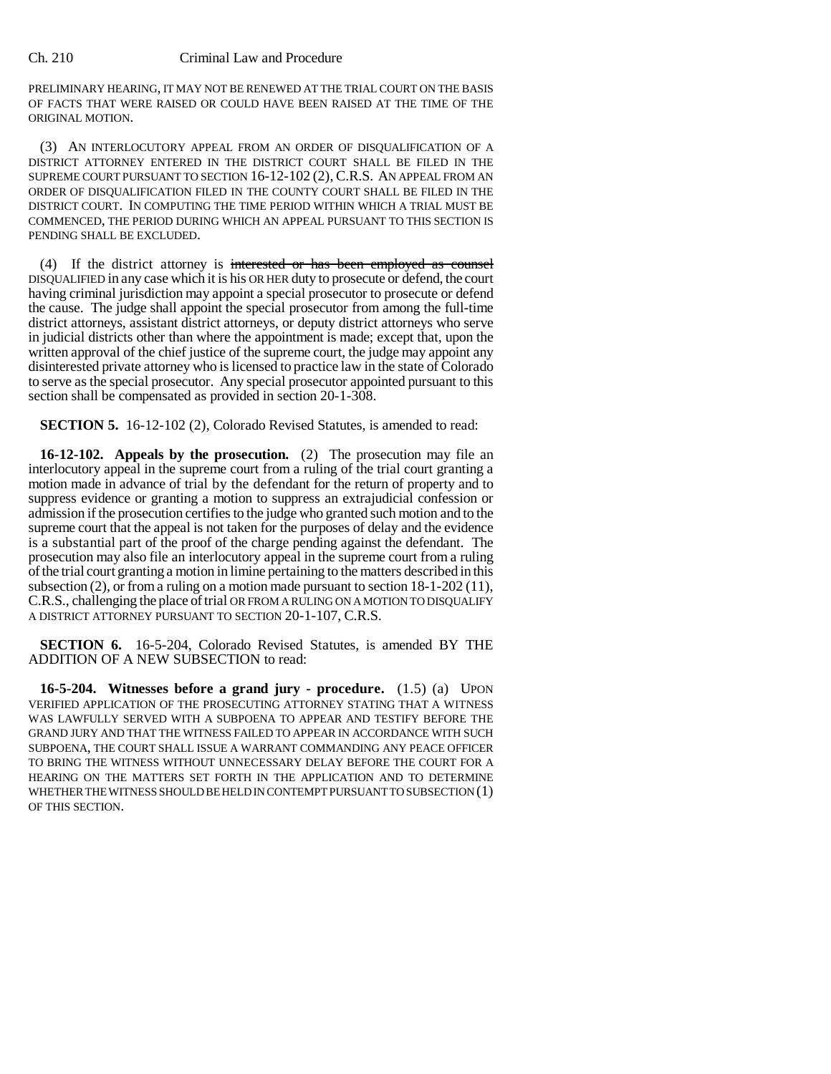## Ch. 210 Criminal Law and Procedure

PRELIMINARY HEARING, IT MAY NOT BE RENEWED AT THE TRIAL COURT ON THE BASIS OF FACTS THAT WERE RAISED OR COULD HAVE BEEN RAISED AT THE TIME OF THE ORIGINAL MOTION.

(3) AN INTERLOCUTORY APPEAL FROM AN ORDER OF DISQUALIFICATION OF A DISTRICT ATTORNEY ENTERED IN THE DISTRICT COURT SHALL BE FILED IN THE SUPREME COURT PURSUANT TO SECTION 16-12-102 (2), C.R.S. AN APPEAL FROM AN ORDER OF DISQUALIFICATION FILED IN THE COUNTY COURT SHALL BE FILED IN THE DISTRICT COURT. IN COMPUTING THE TIME PERIOD WITHIN WHICH A TRIAL MUST BE COMMENCED, THE PERIOD DURING WHICH AN APPEAL PURSUANT TO THIS SECTION IS PENDING SHALL BE EXCLUDED.

(4) If the district attorney is interested or has been employed as counsel DISQUALIFIED in any case which it is his OR HER duty to prosecute or defend, the court having criminal jurisdiction may appoint a special prosecutor to prosecute or defend the cause. The judge shall appoint the special prosecutor from among the full-time district attorneys, assistant district attorneys, or deputy district attorneys who serve in judicial districts other than where the appointment is made; except that, upon the written approval of the chief justice of the supreme court, the judge may appoint any disinterested private attorney who is licensed to practice law in the state of Colorado to serve as the special prosecutor. Any special prosecutor appointed pursuant to this section shall be compensated as provided in section 20-1-308.

**SECTION 5.** 16-12-102 (2), Colorado Revised Statutes, is amended to read:

**16-12-102. Appeals by the prosecution.** (2) The prosecution may file an interlocutory appeal in the supreme court from a ruling of the trial court granting a motion made in advance of trial by the defendant for the return of property and to suppress evidence or granting a motion to suppress an extrajudicial confession or admission if the prosecution certifies to the judge who granted such motion and to the supreme court that the appeal is not taken for the purposes of delay and the evidence is a substantial part of the proof of the charge pending against the defendant. The prosecution may also file an interlocutory appeal in the supreme court from a ruling of the trial court granting a motion in limine pertaining to the matters described in this subsection (2), or from a ruling on a motion made pursuant to section  $18-1-202(11)$ , C.R.S., challenging the place of trial OR FROM A RULING ON A MOTION TO DISQUALIFY A DISTRICT ATTORNEY PURSUANT TO SECTION 20-1-107, C.R.S.

**SECTION 6.** 16-5-204, Colorado Revised Statutes, is amended BY THE ADDITION OF A NEW SUBSECTION to read:

**16-5-204. Witnesses before a grand jury - procedure.** (1.5) (a) UPON VERIFIED APPLICATION OF THE PROSECUTING ATTORNEY STATING THAT A WITNESS WAS LAWFULLY SERVED WITH A SUBPOENA TO APPEAR AND TESTIFY BEFORE THE GRAND JURY AND THAT THE WITNESS FAILED TO APPEAR IN ACCORDANCE WITH SUCH SUBPOENA, THE COURT SHALL ISSUE A WARRANT COMMANDING ANY PEACE OFFICER TO BRING THE WITNESS WITHOUT UNNECESSARY DELAY BEFORE THE COURT FOR A HEARING ON THE MATTERS SET FORTH IN THE APPLICATION AND TO DETERMINE WHETHER THE WITNESS SHOULD BE HELD IN CONTEMPT PURSUANT TO SUBSECTION (1) OF THIS SECTION.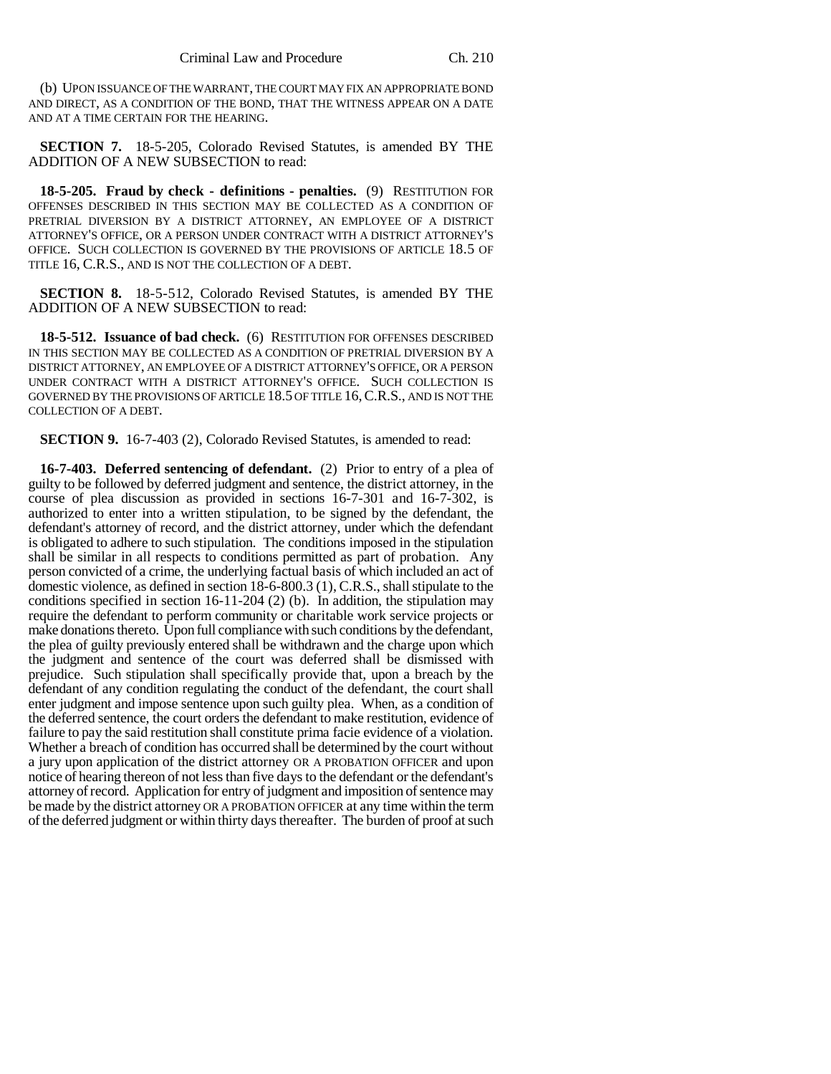(b) UPON ISSUANCE OF THE WARRANT, THE COURT MAY FIX AN APPROPRIATE BOND AND DIRECT, AS A CONDITION OF THE BOND, THAT THE WITNESS APPEAR ON A DATE AND AT A TIME CERTAIN FOR THE HEARING.

**SECTION 7.** 18-5-205, Colorado Revised Statutes, is amended BY THE ADDITION OF A NEW SUBSECTION to read:

**18-5-205. Fraud by check - definitions - penalties.** (9) RESTITUTION FOR OFFENSES DESCRIBED IN THIS SECTION MAY BE COLLECTED AS A CONDITION OF PRETRIAL DIVERSION BY A DISTRICT ATTORNEY, AN EMPLOYEE OF A DISTRICT ATTORNEY'S OFFICE, OR A PERSON UNDER CONTRACT WITH A DISTRICT ATTORNEY'S OFFICE. SUCH COLLECTION IS GOVERNED BY THE PROVISIONS OF ARTICLE 18.5 OF TITLE 16, C.R.S., AND IS NOT THE COLLECTION OF A DEBT.

**SECTION 8.** 18-5-512, Colorado Revised Statutes, is amended BY THE ADDITION OF A NEW SUBSECTION to read:

**18-5-512. Issuance of bad check.** (6) RESTITUTION FOR OFFENSES DESCRIBED IN THIS SECTION MAY BE COLLECTED AS A CONDITION OF PRETRIAL DIVERSION BY A DISTRICT ATTORNEY, AN EMPLOYEE OF A DISTRICT ATTORNEY'S OFFICE, OR A PERSON UNDER CONTRACT WITH A DISTRICT ATTORNEY'S OFFICE. SUCH COLLECTION IS GOVERNED BY THE PROVISIONS OF ARTICLE 18.5 OF TITLE 16,C.R.S., AND IS NOT THE COLLECTION OF A DEBT.

**SECTION 9.** 16-7-403 (2), Colorado Revised Statutes, is amended to read:

**16-7-403. Deferred sentencing of defendant.** (2) Prior to entry of a plea of guilty to be followed by deferred judgment and sentence, the district attorney, in the course of plea discussion as provided in sections 16-7-301 and 16-7-302, is authorized to enter into a written stipulation, to be signed by the defendant, the defendant's attorney of record, and the district attorney, under which the defendant is obligated to adhere to such stipulation. The conditions imposed in the stipulation shall be similar in all respects to conditions permitted as part of probation. Any person convicted of a crime, the underlying factual basis of which included an act of domestic violence, as defined in section 18-6-800.3 (1), C.R.S., shall stipulate to the conditions specified in section  $16-11-204$  (2) (b). In addition, the stipulation may require the defendant to perform community or charitable work service projects or make donations thereto. Upon full compliance with such conditions by the defendant, the plea of guilty previously entered shall be withdrawn and the charge upon which the judgment and sentence of the court was deferred shall be dismissed with prejudice. Such stipulation shall specifically provide that, upon a breach by the defendant of any condition regulating the conduct of the defendant, the court shall enter judgment and impose sentence upon such guilty plea. When, as a condition of the deferred sentence, the court orders the defendant to make restitution, evidence of failure to pay the said restitution shall constitute prima facie evidence of a violation. Whether a breach of condition has occurred shall be determined by the court without a jury upon application of the district attorney OR A PROBATION OFFICER and upon notice of hearing thereon of not less than five days to the defendant or the defendant's attorney of record. Application for entry of judgment and imposition of sentence may be made by the district attorney OR A PROBATION OFFICER at any time within the term of the deferred judgment or within thirty days thereafter. The burden of proof at such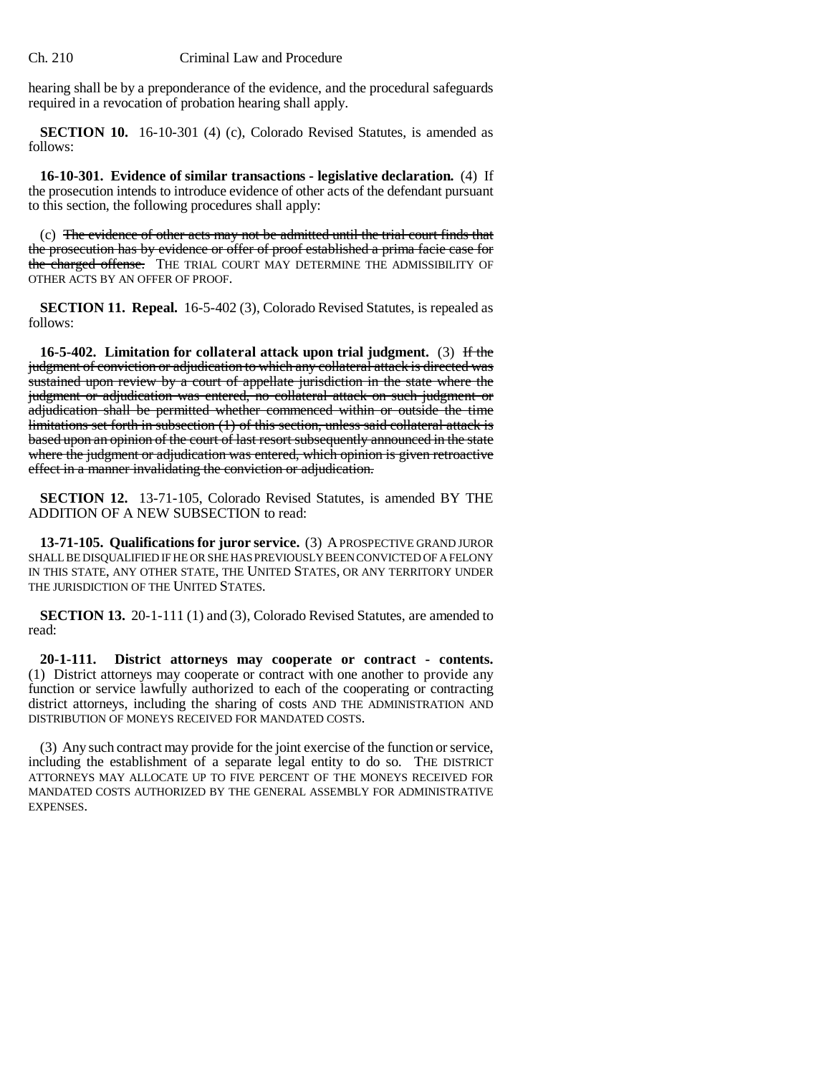hearing shall be by a preponderance of the evidence, and the procedural safeguards required in a revocation of probation hearing shall apply.

**SECTION 10.** 16-10-301 (4) (c), Colorado Revised Statutes, is amended as follows:

**16-10-301. Evidence of similar transactions - legislative declaration.** (4) If the prosecution intends to introduce evidence of other acts of the defendant pursuant to this section, the following procedures shall apply:

(c) The evidence of other acts may not be admitted until the trial court finds that the prosecution has by evidence or offer of proof established a prima facie case for the charged offense. THE TRIAL COURT MAY DETERMINE THE ADMISSIBILITY OF OTHER ACTS BY AN OFFER OF PROOF.

**SECTION 11. Repeal.** 16-5-402 (3), Colorado Revised Statutes, is repealed as follows:

**16-5-402. Limitation for collateral attack upon trial judgment.** (3) If the judgment of conviction or adjudication to which any collateral attack is directed was sustained upon review by a court of appellate jurisdiction in the state where the judgment or adjudication was entered, no collateral attack on such judgment or adjudication shall be permitted whether commenced within or outside the time limitations set forth in subsection (1) of this section, unless said collateral attack is based upon an opinion of the court of last resort subsequently announced in the state where the judgment or adjudication was entered, which opinion is given retroactive effect in a manner invalidating the conviction or adjudication.

**SECTION 12.** 13-71-105, Colorado Revised Statutes, is amended BY THE ADDITION OF A NEW SUBSECTION to read:

**13-71-105. Qualifications for juror service.** (3) A PROSPECTIVE GRAND JUROR SHALL BE DISQUALIFIED IF HE OR SHE HAS PREVIOUSLY BEEN CONVICTED OF A FELONY IN THIS STATE, ANY OTHER STATE, THE UNITED STATES, OR ANY TERRITORY UNDER THE JURISDICTION OF THE UNITED STATES.

**SECTION 13.** 20-1-111 (1) and (3), Colorado Revised Statutes, are amended to read:

**20-1-111. District attorneys may cooperate or contract - contents.** (1) District attorneys may cooperate or contract with one another to provide any function or service lawfully authorized to each of the cooperating or contracting district attorneys, including the sharing of costs AND THE ADMINISTRATION AND DISTRIBUTION OF MONEYS RECEIVED FOR MANDATED COSTS.

(3) Any such contract may provide for the joint exercise of the function or service, including the establishment of a separate legal entity to do so. THE DISTRICT ATTORNEYS MAY ALLOCATE UP TO FIVE PERCENT OF THE MONEYS RECEIVED FOR MANDATED COSTS AUTHORIZED BY THE GENERAL ASSEMBLY FOR ADMINISTRATIVE EXPENSES.